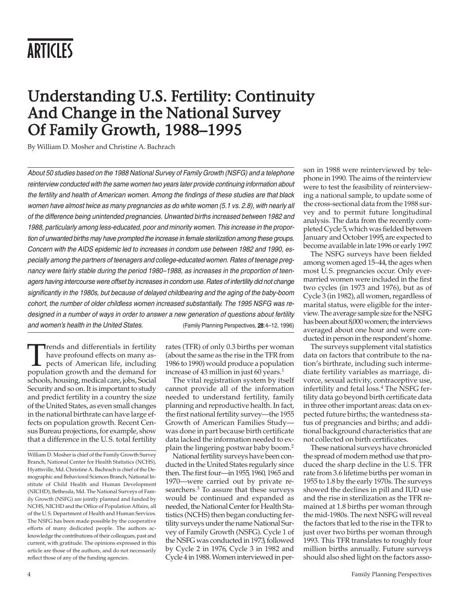# Understanding U.S. Fertility: Continuity And Change in the National Survey Of Family Growth, 1988–1995

By William D. Mosher and Christine A. Bachrach

About 50 studies based on the 1988 National Survey of Family Growth (NSFG) and a telephone reinterview conducted with the same women two years later provide continuing information about the fertility and health of American women. Among the findings of these studies are that black women have almost twice as many pregnancies as do white women (5.1 vs. 2.8), with nearly all of the difference being unintended pregnancies. Unwanted births increased between 1982 and 1988, particularly among less-educated, poor and minority women. This increase in the proportion of unwanted births may have prompted the increase in female sterilization among these groups. Concern with the AIDS epidemic led to increases in condom use between 1982 and 1990, especially among the partners of teenagers and college-educated women. Rates of teenage pregnancy were fairly stable during the period 1980–1988, as increases in the proportion of teenagers having intercourse were offset by increases in condom use. Rates of infertility did not change significantly in the 1980s, but because of delayed childbearing and the aging of the baby-boom cohort, the number of older childless women increased substantially. The 1995 NSFG was redesigned in a number of ways in order to answer a new generation of questions about fertility and women's health in the United States. (Family Planning Perspectives, 28:4–12, 1996)

Trends and differentials in fertility<br>have profound effects on many as-<br>pects of American life, including<br>population growth and the demand for have profound effects on many aspects of American life, including schools, housing, medical care, jobs, Social Security and so on. It is important to study and predict fertility in a country the size of the United States, as even small changes in the national birthrate can have large effects on population growth. Recent Census Bureau projections, for example, show that a difference in the U. S. total fertility

rates (TFR) of only 0.3 births per woman (about the same as the rise in the TFR from 1986 to 1990) would produce a population increase of 43 million in just 60 years.<sup>1</sup>

The vital registration system by itself cannot provide all of the information needed to understand fertility, family planning and reproductive health. In fact, the first national fertility survey—the 1955 Growth of American Families Study was done in part because birth certificate data lacked the information needed to explain the lingering postwar baby boom.2

National fertility surveys have been conducted in the United States regularly since then. The first four—in 1955, 1960, 1965 and 1970—were carried out by private researchers.<sup>3</sup> To assure that these surveys would be continued and expanded as needed, the National Center for Health Statistics (NCHS) then began conducting fertility surveys under the name National Survey of Family Growth (NSFG). Cycle 1 of the NSFG was conducted in 1973, followed by Cycle 2 in 1976, Cycle 3 in 1982 and Cycle 4 in 1988. Women interviewed in person in 1988 were reinterviewed by telephone in 1990. The aims of the reinterview were to test the feasibility of reinterviewing a national sample, to update some of the cross-sectional data from the 1988 survey and to permit future longitudinal analysis. The data from the recently completed Cycle 5, which was fielded between January and October 1995, are expected to become available in late 1996 or early 1997.

The NSFG surveys have been fielded among women aged 15–44, the ages when most U. S. pregnancies occur. Only evermarried women were included in the first two cycles (in 1973 and 1976), but as of Cycle 3 (in 1982), all women, regardless of marital status, were eligible for the interview. The average sample size for the NSFG has been about 8,000 women; the interviews averaged about one hour and were conducted in person in the respondent's home.

The surveys supplement vital statistics data on factors that contribute to the nation's birthrate, including such intermediate fertility variables as marriage, divorce, sexual activity, contraceptive use, infertility and fetal loss.<sup>4</sup> The NSFG fertility data go beyond birth certificate data in three other important areas: data on expected future births; the wantedness status of pregnancies and births; and additional background characteristics that are not collected on birth certificates.

These national surveys have chronicled the spread of modern method use that produced the sharp decline in the U. S. TFR rate from 3.6 lifetime births per woman in 1955 to 1.8 by the early 1970s. The surveys showed the declines in pill and IUD use and the rise in sterilization as the TFR remained at 1.8 births per woman through the mid-1980s. The next NSFG will reveal the factors that led to the rise in the TFR to just over two births per woman through 1993. This TFR translates to roughly four million births annually. Future surveys should also shed light on the factors asso-

William D. Mosher is chief of the Family Growth Survey Branch, National Center for Health Statistics (NCHS), Hyattsville, Md. Christine A. Bachrach is chief of the Demographic and Behavioral Sciences Branch, National Institute of Child Health and Human Development (NICHD), Bethesda, Md. The National Surveys of Family Growth (NSFG) are jointly planned and funded by NCHS, NICHD and the Office of Population Affairs, all of the U. S. Department of Health and Human Services. The NSFG has been made possible by the cooperative efforts of many dedicated people. The authors acknowledge the contributions of their colleagues, past and current, with gratitude. The opinions expressed in this article are those of the authors, and do not necessarily reflect those of any of the funding agencies.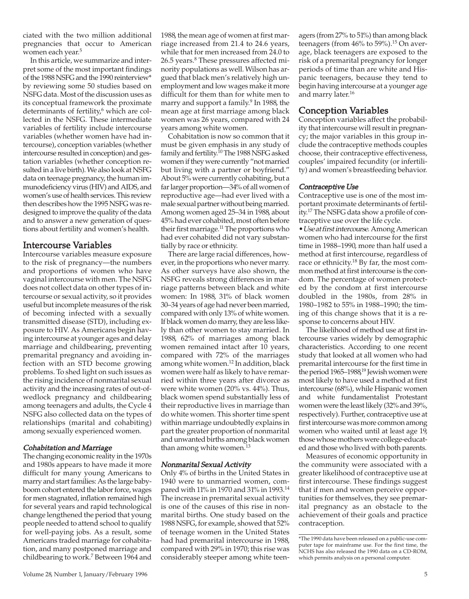ciated with the two million additional pregnancies that occur to American women each year.<sup>5</sup>

In this article, we summarize and interpret some of the most important findings of the 1988 NSFG and the 1990 reinterview\* by reviewing some 50 studies based on NSFG data. Most of the discussion uses as its conceptual framework the proximate determinants of fertility,<sup>6</sup> which are collected in the NSFG. These intermediate variables of fertility include intercourse variables (whether women have had intercourse), conception variables (whether intercourse resulted in conception) and gestation variables (whether conception resulted in a live birth). We also look at NSFG data on teenage pregnancy, the human immunodeficiency virus (HIV) and AIDS, and women's use of health services. This review then describes how the 1995 NSFG was redesigned to improve the quality of the data and to answer a new generation of questions about fertility and women's health.

### Intercourse Variables

Intercourse variables measure exposure to the risk of pregnancy—the numbers and proportions of women who have vaginal intercourse with men. The NSFG does not collect data on other types of intercourse or sexual activity, so it provides useful but incomplete measures of the risk of becoming infected with a sexually transmitted disease (STD), including exposure to HIV. As Americans begin having intercourse at younger ages and delay marriage and childbearing, preventing premarital pregnancy and avoiding infection with an STD become growing problems. To shed light on such issues as the rising incidence of nonmarital sexual activity and the increasing rates of out-ofwedlock pregnancy and childbearing among teenagers and adults, the Cycle 4 NSFG also collected data on the types of relationships (marital and cohabiting) among sexually experienced women.

### Cohabitation and Marriage

The changing economic reality in the 1970s and 1980s appears to have made it more difficult for many young Americans to marry and start families: As the large babyboom cohort entered the labor force, wages for men stagnated, inflation remained high for several years and rapid technological change lengthened the period that young people needed to attend school to qualify for well-paying jobs. As a result, some Americans traded marriage for cohabitation, and many postponed marriage and childbearing to work.<sup>7</sup> Between 1964 and

1988, the mean age of women at first marriage increased from 21.4 to 24.6 years, while that for men increased from 24.0 to 26.5 years.<sup>8</sup> These pressures affected minority populations as well. Wilson has argued that black men's relatively high unemployment and low wages make it more difficult for them than for white men to marry and support a family.<sup>9</sup> In 1988, the mean age at first marriage among black women was 26 years, compared with 24 years among white women.

Cohabitation is now so common that it must be given emphasis in any study of family and fertility.<sup>10</sup> The 1988 NSFG asked women if they were currently "not married but living with a partner or boyfriend." About 5% were currently cohabiting, but a far larger proportion—34% of all women of reproductive age—had ever lived with a male sexual partner without being married. Among women aged 25–34 in 1988, about 45% had ever cohabited, most often before their first marriage.<sup>11</sup> The proportions who had ever cohabited did not vary substantially by race or ethnicity.

There are large racial differences, however, in the proportions who never marry. As other surveys have also shown, the NSFG reveals strong differences in marriage patterns between black and white women: In 1988, 31% of black women 30–34 years of age had never been married, compared with only 13% of white women. If black women do marry, they are less likely than other women to stay married. In 1988, 62% of marriages among black women remained intact after 10 years, compared with 72% of the marriages among white women.<sup>12</sup> In addition, black women were half as likely to have remarried within three years after divorce as were white women (20% vs. 44%). Thus, black women spend substantially less of their reproductive lives in marriage than do white women. This shorter time spent within marriage undoubtedly explains in part the greater proportion of nonmarital and unwanted births among black women than among white women.<sup>13</sup>

#### Nonmarital Sexual Activity

Only 4% of births in the United States in 1940 were to unmarried women, compared with 11% in 1970 and 31% in 1993.14 The increase in premarital sexual activity is one of the causes of this rise in nonmarital births. One study based on the 1988 NSFG, for example, showed that 52% of teenage women in the United States had had premarital intercourse in 1988, compared with 29% in 1970; this rise was considerably steeper among white teen-

agers (from 27% to 51%) than among black teenagers (from 46% to 59%).<sup>15</sup> On average, black teenagers are exposed to the risk of a premarital pregnancy for longer periods of time than are white and Hispanic teenagers, because they tend to begin having intercourse at a younger age and marry later.16

### Conception Variables

Conception variables affect the probability that intercourse will result in pregnancy; the major variables in this group include the contraceptive methods couples choose, their contraceptive effectiveness, couples' impaired fecundity (or infertility) and women's breastfeeding behavior.

### Contraceptive Use

Contraceptive use is one of the most important proximate determinants of fertility.17 The NSFG data show a profile of contraceptive use over the life cycle.

•Use at first intercourse. Among American women who had intercourse for the first time in 1988–1990, more than half used a method at first intercourse, regardless of race or ethnicity.18 By far, the most common method at first intercourse is the condom. The percentage of women protected by the condom at first intercourse doubled in the 1980s, from 28% in 1980–1982 to 55% in 1988–1990; the timing of this change shows that it is a response to concerns about HIV.

The likelihood of method use at first intercourse varies widely by demographic characteristics. According to one recent study that looked at all women who had premarital intercourse for the first time in the period 1965–1988,<sup>19</sup> Jewish women were most likely to have used a method at first intercourse (68%), while Hispanic women and white fundamentalist Protestant women were the least likely (32% and 39%, respectively). Further, contraceptive use at first intercourse was more common among women who waited until at least age 19, those whose mothers were college-educated and those who lived with both parents.

Measures of economic opportunity in the community were associated with a greater likelihood of contraceptive use at first intercourse. These findings suggest that if men and women perceive opportunities for themselves, they see premarital pregnancy as an obstacle to the achievement of their goals and practice contraception.

<sup>\*</sup>The 1990 data have been released on a public-use computer tape for mainframe use. For the first time, the NCHS has also released the 1990 data on a CD-ROM, which permits analysis on a personal computer.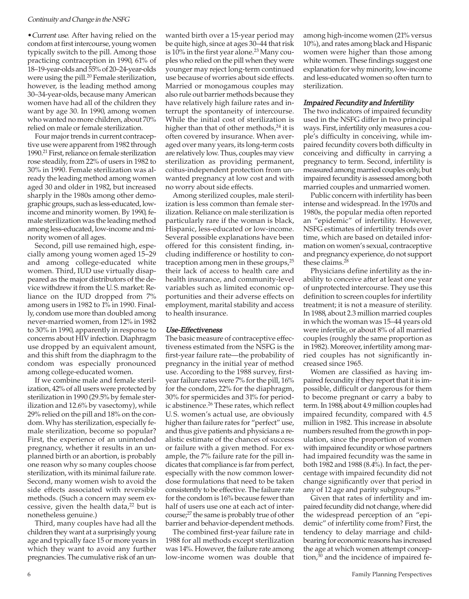•Current use. After having relied on the condom at first intercourse, young women typically switch to the pill. Among those practicing contraception in 1990, 61% of 18–19-year-olds and 55% of 20–24-year-olds were using the pill.<sup>20</sup> Female sterilization, however, is the leading method among 30–34-year-olds, because many American women have had all of the children they want by age 30. In 1990, among women who wanted no more children, about 70% relied on male or female sterilization.

Four major trends in current contraceptive use were apparent from 1982 through 1990.21 First, reliance on female sterilization rose steadily, from 22% of users in 1982 to 30% in 1990. Female sterilization was already the leading method among women aged 30 and older in 1982, but increased sharply in the 1980s among other demographic groups, such as less-educated, lowincome and minority women. By 1990, female sterilization was the leading method among less-educated, low-income and minority women of all ages.

Second, pill use remained high, especially among young women aged 15–29 and among college-educated white women. Third, IUD use virtually disappeared as the major distributors of the device withdrew it from the U. S. market: Reliance on the IUD dropped from 7% among users in 1982 to 1% in 1990. Finally, condom use more than doubled among never-married women, from 12% in 1982 to 30% in 1990, apparently in response to concerns about HIV infection. Diaphragm use dropped by an equivalent amount, and this shift from the diaphragm to the condom was especially pronounced among college-educated women.

If we combine male and female sterilization, 42% of all users were protected by sterilization in 1990 (29.5% by female sterilization and 12.6% by vasectomy), while 29% relied on the pill and 18% on the condom. Why has sterilization, especially female sterilization, become so popular? First, the experience of an unintended pregnancy, whether it results in an unplanned birth or an abortion, is probably one reason why so many couples choose sterilization, with its minimal failure rate. Second, many women wish to avoid the side effects associated with reversible methods. (Such a concern may seem excessive, given the health data,<sup>22</sup> but is nonetheless genuine.)

Third, many couples have had all the children they want at a surprisingly young age and typically face 15 or more years in which they want to avoid any further pregnancies. The cumulative risk of an un-

wanted birth over a 15-year period may be quite high, since at ages 30–44 that risk is  $10\%$  in the first year alone.<sup>23</sup> Many couples who relied on the pill when they were younger may reject long-term continued use because of worries about side effects. Married or monogamous couples may also rule out barrier methods because they have relatively high failure rates and interrupt the spontaneity of intercourse. While the initial cost of sterilization is higher than that of other methods, $^{24}$  it is often covered by insurance. When averaged over many years, its long-term costs are relatively low. Thus, couples may view sterilization as providing permanent, coitus-independent protection from unwanted pregnancy at low cost and with no worry about side effects.

Among sterilized couples, male sterilization is less common than female sterilization. Reliance on male sterilization is particularly rare if the woman is black, Hispanic, less-educated or low-income. Several possible explanations have been offered for this consistent finding, including indifference or hostility to contraception among men in these groups, $25$ their lack of access to health care and health insurance, and community-level variables such as limited economic opportunities and their adverse effects on employment, marital stability and access to health insurance.

### Use-Effectiveness

The basic measure of contraceptive effectiveness estimated from the NSFG is the first-year failure rate—the probability of pregnancy in the initial year of method use. According to the 1988 survey, firstyear failure rates were 7% for the pill, 16% for the condom, 22% for the diaphragm, 30% for spermicides and 31% for periodic abstinence.<sup>26</sup> These rates, which reflect U. S. women's actual use, are obviously higher than failure rates for "perfect" use, and thus give patients and physicians a realistic estimate of the chances of success or failure with a given method. For example, the 7% failure rate for the pill indicates that compliance is far from perfect, especially with the now common lowerdose formulations that need to be taken consistently to be effective. The failure rate for the condom is 16% because fewer than half of users use one at each act of intercourse;<sup>27</sup> the same is probably true of other barrier and behavior-dependent methods.

The combined first-year failure rate in 1988 for all methods except sterilization was 14%. However, the failure rate among low-income women was double that

among high-income women (21% versus 10%), and rates among black and Hispanic women were higher than those among white women. These findings suggest one explanation for why minority, low-income and less-educated women so often turn to sterilization.

### Impaired Fecundity and Infertility

The two indicators of impaired fecundity used in the NSFG differ in two principal ways. First, infertility only measures a couple's difficulty in conceiving, while impaired fecundity covers both difficulty in conceiving and difficulty in carrying a pregnancy to term. Second, infertility is measured among married couples only, but impaired fecundity is assessed among both married couples and unmarried women.

Public concern with infertility has been intense and widespread. In the 1970s and 1980s, the popular media often reported an "epidemic" of infertility. However, NSFG estimates of infertility trends over time, which are based on detailed information on women's sexual, contraceptive and pregnancy experience, do not support these claims.<sup>28</sup>

Physicians define infertility as the inability to conceive after at least one year of unprotected intercourse. They use this definition to screen couples for infertility treatment; it is not a measure of sterility. In 1988, about 2.3 million married couples in which the woman was 15–44 years old were infertile, or about 8% of all married couples (roughly the same proportion as in 1982). Moreover, infertility among married couples has not significantly increased since 1965.

Women are classified as having impaired fecundity if they report that it is impossible, difficult or dangerous for them to become pregnant or carry a baby to term. In 1988, about 4.9 million couples had impaired fecundity, compared with 4.5 million in 1982. This increase in absolute numbers resulted from the growth in population, since the proportion of women with impaired fecundity or whose partners had impaired fecundity was the same in both 1982 and 1988 (8.4%). In fact, the percentage with impaired fecundity did not change significantly over that period in any of 12 age and parity subgroups.29

Given that rates of infertility and impaired fecundity did not change, where did the widespread perception of an "epidemic" of infertility come from? First, the tendency to delay marriage and childbearing for economic reasons has increased the age at which women attempt conception, $30$  and the incidence of impaired fe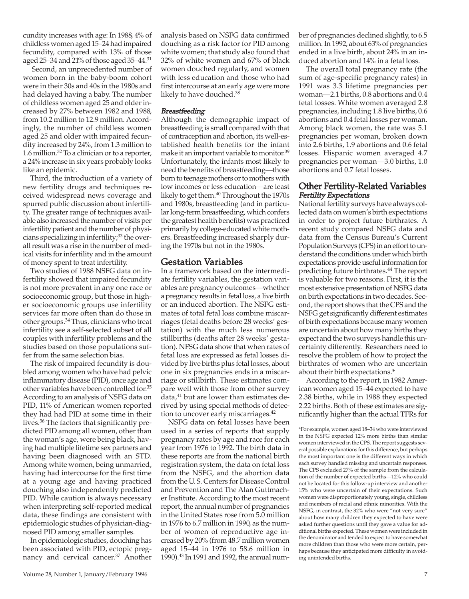cundity increases with age: In 1988, 4% of childless women aged 15–24 had impaired fecundity, compared with 13% of those aged 25–34 and 21% of those aged 35–44.31

Second, an unprecedented number of women born in the baby-boom cohort were in their 30s and 40s in the 1980s and had delayed having a baby. The number of childless women aged 25 and older increased by 27% between 1982 and 1988, from 10.2 million to 12.9 million. Accordingly, the number of childless women aged 25 and older with impaired fecundity increased by 24%, from 1.3 million to 1.6 million.32 To a clinician or to a reporter, a 24% increase in six years probably looks like an epidemic.

Third, the introduction of a variety of new fertility drugs and techniques received widespread news coverage and spurred public discussion about infertility. The greater range of techniques available also increased the number of visits per infertility patient and the number of physicians specializing in infertility;<sup>33</sup> the overall result was a rise in the number of medical visits for infertility and in the amount of money spent to treat infertility.

Two studies of 1988 NSFG data on infertility showed that impaired fecundity is not more prevalent in any one race or socioeconomic group, but those in higher socioeconomic groups use infertility services far more often than do those in other groups.34 Thus, clinicians who treat infertility see a self-selected subset of all couples with infertility problems and the studies based on those populations suffer from the same selection bias.

The risk of impaired fecundity is doubled among women who have had pelvic inflammatory disease (PID), once age and other variables have been controlled for.35 According to an analysis of NSFG data on PID, 11% of American women reported they had had PID at some time in their lives.36 The factors that significantly predicted PID among all women, other than the woman's age, were being black, having had multiple lifetime sex partners and having been diagnosed with an STD. Among white women, being unmarried, having had intercourse for the first time at a young age and having practiced douching also independently predicted PID. While caution is always necessary when interpreting self-reported medical data, these findings are consistent with epidemiologic studies of physician-diagnosed PID among smaller samples.

In epidemiologic studies, douching has been associated with PID, ectopic pregnancy and cervical cancer.<sup>37</sup> Another analysis based on NSFG data confirmed douching as a risk factor for PID among white women; that study also found that 32% of white women and 67% of black women douched regularly, and women with less education and those who had first intercourse at an early age were more likely to have douched.<sup>38</sup>

### **Breastfeeding**

Although the demographic impact of breastfeeding is small compared with that of contraception and abortion, its well-established health benefits for the infant make it an important variable to monitor.<sup>39</sup> Unfortunately, the infants most likely to need the benefits of breastfeeding—those born to teenage mothers or to mothers with low incomes or less education—are least likely to get them.40 Throughout the 1970s and 1980s, breastfeeding (and in particular long-term breastfeeding, which confers the greatest health benefits) was practiced primarily by college-educated white mothers. Breastfeeding increased sharply during the 1970s but not in the 1980s.

### Gestation Variables

In a framework based on the intermediate fertility variables, the gestation variables are pregnancy outcomes—whether a pregnancy results in fetal loss, a live birth or an induced abortion. The NSFG estimates of total fetal loss combine miscarriages (fetal deaths before 28 weeks' gestation) with the much less numerous stillbirths (deaths after 28 weeks' gestation). NFSG data show that when rates of fetal loss are expressed as fetal losses divided by live births plus fetal losses, about one in six pregnancies ends in a miscarriage or stillbirth. These estimates compare well with those from other survey data, $41$  but are lower than estimates derived by using special methods of detection to uncover early miscarriages.<sup>42</sup>

NSFG data on fetal losses have been used in a series of reports that supply pregnancy rates by age and race for each year from 1976 to 1992. The birth data in these reports are from the national birth registration system, the data on fetal loss from the NSFG, and the abortion data from the U. S. Centers for Disease Control and Prevention and The Alan Guttmacher Institute. According to the most recent report, the annual number of pregnancies in the United States rose from 5.0 million in 1976 to 6.7 million in 1990, as the number of women of reproductive age increased by 20% (from 48.7 million women aged 15–44 in 1976 to 58.6 million in 1990).43 In 1991 and 1992, the annual number of pregnancies declined slightly, to 6.5 million. In 1992, about 63% of pregnancies ended in a live birth, about 24% in an induced abortion and 14% in a fetal loss.

The overall total pregnancy rate (the sum of age-specific pregnancy rates) in 1991 was 3.3 lifetime pregnancies per woman—2.1 births, 0.8 abortions and 0.4 fetal losses. White women averaged 2.8 pregnancies, including 1.8 live births, 0.6 abortions and 0.4 fetal losses per woman. Among black women, the rate was 5.1 pregnancies per woman, broken down into 2.6 births, 1.9 abortions and 0.6 fetal losses. Hispanic women averaged 4.7 pregnancies per woman—3.0 births, 1.0 abortions and 0.7 fetal losses.

### Other Fertility-Related Variables Fertility Expectations

National fertility surveys have always collected data on women's birth expectations in order to project future birthrates. A recent study compared NSFG data and data from the Census Bureau's Current Population Surveys (CPS) in an effort to understand the conditions under which birth expectations provide useful information for predicting future birthrates.<sup>44</sup> The report is valuable for two reasons. First, it is the most extensive presentation of NSFG data on birth expectations in two decades. Second, the report shows that the CPS and the NSFG get significantly different estimates of birth expectations because many women are uncertain about how many births they expect and the two surveys handle this uncertainty differently. Researchers need to resolve the problem of how to project the birthrates of women who are uncertain about their birth expectations.\*

According to the report, in 1982 American women aged 15–44 expected to have 2.38 births, while in 1988 they expected 2.22 births. Both of these estimates are significantly higher than the actual TFRs for

<sup>\*</sup>For example, women aged 18–34 who were interviewed in the NSFG expected 12% more births than similar women interviewed in the CPS. The report suggests several possible explanations for this difference, but perhaps the most important one is the different ways in which each survey handled missing and uncertain responses. The CPS excluded 27% of the sample from the calculation of the number of expected births—12% who could not be located for this follow-up interview and another 15% who were uncertain of their expectations. Such women were disproportionately young, single, childless and members of racial and ethnic minorities. With the NSFG, in contrast, the 32% who were "not very sure" about how many children they expected to have were asked further questions until they gave a value for additional births expected. These women were included in the denominator and tended to expect to have somewhat more children than those who were more certain, perhaps because they anticipated more difficulty in avoiding unintended births.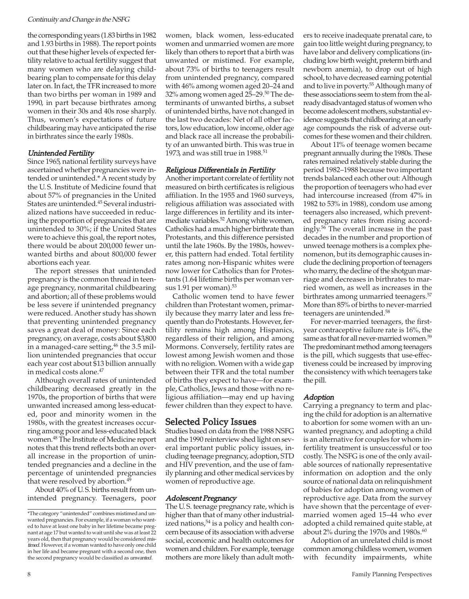the corresponding years (1.83 births in 1982 and 1.93 births in 1988). The report points out that these higher levels of expected fertility relative to actual fertility suggest that many women who are delaying childbearing plan to compensate for this delay later on. In fact, the TFR increased to more than two births per woman in 1989 and 1990, in part because birthrates among women in their 30s and 40s rose sharply. Thus, women's expectations of future childbearing may have anticipated the rise in birthrates since the early 1980s.

### Unintended Fertility

Since 1965, national fertility surveys have ascertained whether pregnancies were intended or unintended.\* A recent study by the U. S. Institute of Medicine found that about 57% of pregnancies in the United States are unintended.45 Several industrialized nations have succeeded in reducing the proportion of pregnancies that are unintended to 30%; if the United States were to achieve this goal, the report notes, there would be about 200,000 fewer unwanted births and about 800,000 fewer abortions each year.

The report stresses that unintended pregnancy is the common thread in teenage pregnancy, nonmarital childbearing and abortion; all of these problems would be less severe if unintended pregnancy were reduced. Another study has shown that preventing unintended pregnancy saves a great deal of money: Since each pregnancy, on average, costs about \$3,800 in a managed-care setting,<sup>46</sup> the 3.5 million unintended pregnancies that occur each year cost about \$13 billion annually in medical costs alone.47

Although overall rates of unintended childbearing decreased greatly in the 1970s, the proportion of births that were unwanted increased among less-educated, poor and minority women in the 1980s, with the greatest increases occurring among poor and less-educated black women.48 The Institute of Medicine report notes that this trend reflects both an overall increase in the proportion of unintended pregnancies and a decline in the percentage of unintended pregnancies that were resolved by abortion.<sup>49</sup>

About 40% of U. S. births result from unintended pregnancy. Teenagers, poor women, black women, less-educated women and unmarried women are more likely than others to report that a birth was unwanted or mistimed. For example, about 73% of births to teenagers result from unintended pregnancy, compared with 46% among women aged 20–24 and 32% among women aged 25–29.50 The determinants of unwanted births, a subset of unintended births, have not changed in the last two decades: Net of all other factors, low education, low income, older age and black race all increase the probability of an unwanted birth. This was true in 1973, and was still true in  $1988$ .<sup>51</sup>

### Religious Differentials in Fertility

Another important correlate of fertility not measured on birth certificates is religious affiliation. In the 1955 and 1960 surveys, religious affiliation was associated with large differences in fertility and its intermediate variables.<sup>52</sup> Among white women, Catholics had a much higher birthrate than Protestants, and this difference persisted until the late 1960s. By the 1980s, however, this pattern had ended. Total fertility rates among non-Hispanic whites were now lower for Catholics than for Protestants (1.64 lifetime births per woman versus 1.91 per woman).<sup>53</sup>

Catholic women tend to have fewer children than Protestant women, primarily because they marry later and less frequently than do Protestants. However, fertility remains high among Hispanics, regardless of their religion, and among Mormons. Conversely, fertility rates are lowest among Jewish women and those with no religion. Women with a wide gap between their TFR and the total number of births they expect to have—for example, Catholics, Jews and those with no religious affiliation—may end up having fewer children than they expect to have.

### Selected Policy Issues

Studies based on data from the 1988 NSFG and the 1990 reinterview shed light on several important public policy issues, including teenage pregnancy, adoption, STD and HIV prevention, and the use of family planning and other medical services by women of reproductive age.

### Adolescent Pregnancy

The U. S. teenage pregnancy rate, which is higher than that of many other industrialized nations,<sup>54</sup> is a policy and health concern because of its association with adverse social, economic and health outcomes for women and children. For example, teenage mothers are more likely than adult moth-

ers to receive inadequate prenatal care, to gain too little weight during pregnancy, to have labor and delivery complications (including low birth weight, preterm birth and newborn anemia), to drop out of high school, to have decreased earning potential and to live in poverty.55 Although many of these associations seem to stem from the already disadvantaged status of women who become adolescent mothers, substantial evidence suggests that childbearing at an early age compounds the risk of adverse outcomes for these women and their children.

About 11% of teenage women became pregnant annually during the 1980s. These rates remained relatively stable during the period 1982–1988 because two important trends balanced each other out: Although the proportion of teenagers who had ever had intercourse increased (from 47% in 1982 to 53% in 1988), condom use among teenagers also increased, which prevented pregnancy rates from rising accordingly.56 The overall increase in the past decades in the number and proportion of unwed teenage mothers is a complex phenomenon, but its demographic causes include the declining proportion of teenagers who marry, the decline of the shotgun marriage and decreases in birthrates to married women, as well as increases in the birthrates among unmarried teenagers.<sup>57</sup> More than 85% of births to never-married teenagers are unintended.58

For never-married teenagers, the firstyear contraceptive failure rate is 16%, the same as that for all never-married women.<sup>59</sup> The predominant method among teenagers is the pill, which suggests that use-effectiveness could be increased by improving the consistency with which teenagers take the pill.

### Adoption

Carrying a pregnancy to term and placing the child for adoption is an alternative to abortion for some women with an unwanted pregnancy, and adopting a child is an alternative for couples for whom infertility treatment is unsuccessful or too costly. The NSFG is one of the only available sources of nationally representative information on adoption and the only source of national data on relinquishment of babies for adoption among women of reproductive age. Data from the survey have shown that the percentage of evermarried women aged 15–44 who ever adopted a child remained quite stable, at about 2% during the 1970s and 1980s. $60$ 

Adoption of an unrelated child is most common among childless women, women with fecundity impairments, white

<sup>\*</sup>The category "unintended" combines mistimed and unwanted pregnancies. For example, if a woman who wanted to have at least one baby in her lifetime became pregnant at age 17 but wanted to wait until she was at least 22 years old, then that pregnancy would be considered mistimed. However, if a woman wanted to have only one child in her life and became pregnant with a second one, then the second pregnancy would be classified as unwanted.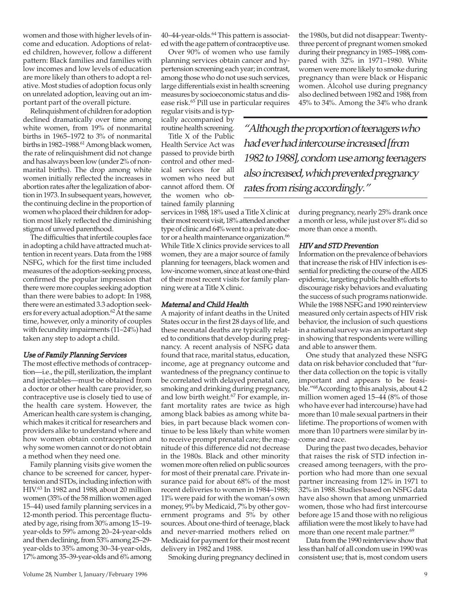with fecundity impairments (11–24%) had taken any step to adopt a child. Use of Family Planning Services

stigma of unwed parenthood.

The difficulties that infertile couples face in adopting a child have attracted much attention in recent years. Data from the 1988 NSFG, which for the first time included measures of the adoption-seeking process, confirmed the popular impression that there were more couples seeking adoption than there were babies to adopt: In 1988, there were an estimated 3.3 adoption seekers for every actual adoption.<sup>62</sup> At the same time, however, only a minority of couples

### The most effective methods of contraception—i.e., the pill, sterilization, the implant and injectables—must be obtained from a doctor or other health care provider, so contraceptive use is closely tied to use of the health care system. However, the American health care system is changing, which makes it critical for researchers and providers alike to understand where and how women obtain contraception and why some women cannot or do not obtain a method when they need one.

women and those with higher levels of income and education. Adoptions of related children, however, follow a different pattern: Black families and families with low incomes and low levels of education are more likely than others to adopt a relative. Most studies of adoption focus only on unrelated adoption, leaving out an important part of the overall picture.

Relinquishment of children for adoption declined dramatically over time among white women, from 19% of nonmarital births in 1965–1972 to 3% of nonmarital births in 1982–1988.<sup>61</sup> Among black women, the rate of relinquishment did not change and has always been low (under 2% of nonmarital births). The drop among white women initially reflected the increases in abortion rates after the legalization of abortion in 1973. In subsequent years, however, the continuing decline in the proportion of women who placed their children for adoption most likely reflected the diminishing

Family planning visits give women the chance to be screened for cancer, hypertension and STDs, including infection with HIV.63 In 1982 and 1988, about 20 million women (35% of the 58 million women aged 15–44) used family planning services in a 12-month period. This percentage fluctuated by age, rising from 30% among 15–19 year-olds to 59% among 20–24-year-olds and then declining, from 53% among 25–29 year-olds to 35% among 30–34-year-olds, 17% among 35–39-year-olds and 6% among

40–44-year-olds.<sup>64</sup> This pattern is associated with the age pattern of contraceptive use.

Over 90% of women who use family planning services obtain cancer and hypertension screening each year; in contrast, among those who do not use such services, large differentials exist in health screening measures by socioeconomic status and disease risk.65 Pill use in particular requires

regular visits and is typically accompanied by routine health screening.

Title X of the Public Health Service Act was passed to provide birth control and other medical services for all women who need but cannot afford them. Of the women who obtained family planning

services in 1988, 18% used a Title X clinic at their most recent visit, 18% attended another type of clinic and 64% went to a private doctor or a health maintenance organization.<sup>66</sup> While Title X clinics provide services to all women, they are a major source of family planning for teenagers, black women and low-income women, since at least one-third of their most recent visits for family planning were at a Title X clinic.

### Maternal and Child Health

A majority of infant deaths in the United States occur in the first 28 days of life, and these neonatal deaths are typically related to conditions that develop during pregnancy. A recent analysis of NSFG data found that race, marital status, education, income, age at pregnancy outcome and wantedness of the pregnancy continue to be correlated with delayed prenatal care, smoking and drinking during pregnancy, and low birth weight.<sup>67</sup> For example, infant mortality rates are twice as high among black babies as among white babies, in part because black women continue to be less likely than white women to receive prompt prenatal care; the magnitude of this difference did not decrease in the 1980s. Black and other minority women more often relied on public sources for most of their prenatal care. Private insurance paid for about 68% of the most recent deliveries to women in 1984–1988; 11% were paid for with the woman's own money, 9% by Medicaid, 7% by other government programs and 5% by other sources. About one-third of teenage, black and never-married mothers relied on Medicaid for payment for their most recent delivery in 1982 and 1988.

Smoking during pregnancy declined in

the 1980s, but did not disappear: Twentythree percent of pregnant women smoked during their pregnancy in 1985–1988, compared with 32% in 1971–1980. White women were more likely to smoke during pregnancy than were black or Hispanic women. Alcohol use during pregnancy also declined between 1982 and 1988, from 45% to 34%. Among the 34% who drank

"Although the proportion of teenagers who had ever had intercourse increased [from 1982 to 1988], condom use among teenagers also increased, which prevented pregnancy rates from rising accordingly."

> during pregnancy, nearly 25% drank once a month or less, while just over 8% did so more than once a month.

### HIV and STD Prevention

Information on the prevalence of behaviors that increase the risk of HIV infection is essential for predicting the course of the AIDS epidemic, targeting public health efforts to discourage risky behaviors and evaluating the success of such programs nationwide. While the 1988 NSFG and 1990 reinterview measured only certain aspects of HIV risk behavior, the inclusion of such questions in a national survey was an important step in showing that respondents were willing and able to answer them.

One study that analyzed these NSFG data on risk behavior concluded that "further data collection on the topic is vitally important and appears to be feasible."68According to this analysis, about 4.2 million women aged 15–44 (8% of those who have ever had intercourse) have had more than 10 male sexual partners in their lifetime. The proportions of women with more than 10 partners were similar by income and race.

During the past two decades, behavior that raises the risk of STD infection increased among teenagers, with the proportion who had more than one sexual partner increasing from 12% in 1971 to 32% in 1988. Studies based on NSFG data have also shown that among unmarried women, those who had first intercourse before age 15 and those with no religious affiliation were the most likely to have had more than one recent male partner.<sup>69</sup>

Data from the 1990 reinterview show that less than half of all condom use in 1990 was consistent use; that is, most condom users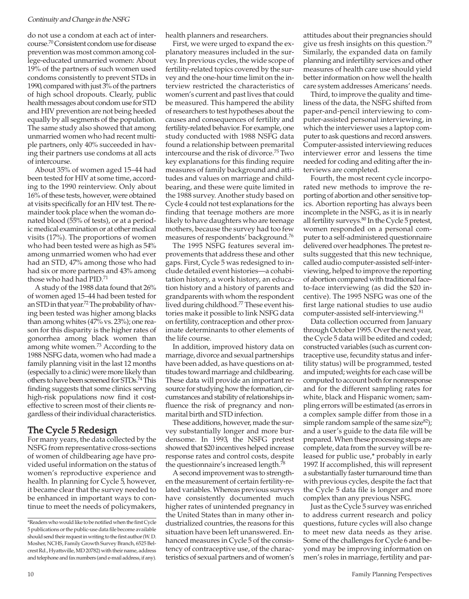do not use a condom at each act of intercourse.70 Consistent condom use for disease prevention was most common among college-educated unmarried women: About 19% of the partners of such women used condoms consistently to prevent STDs in 1990, compared with just 3% of the partners of high school dropouts. Clearly, public health messages about condom use for STD and HIV prevention are not being heeded equally by all segments of the population. The same study also showed that among unmarried women who had recent multiple partners, only 40% succeeded in having their partners use condoms at all acts of intercourse.

About 35% of women aged 15–44 had been tested for HIV at some time, according to the 1990 reinterview. Only about 16% of these tests, however, were obtained at visits specifically for an HIV test. The remainder took place when the woman donated blood (55% of tests), or at a periodic medical examination or at other medical visits (17%). The proportions of women who had been tested were as high as 54% among unmarried women who had ever had an STD, 47% among those who had had six or more partners and 43% among those who had had PID.71

A study of the 1988 data found that 26% of women aged 15–44 had been tested for an STD in that year.72The probability of having been tested was higher among blacks than among whites (47% vs. 23%); one reason for this disparity is the higher rates of gonorrhea among black women than among white women.73 According to the 1988 NSFG data, women who had made a family planning visit in the last 12 months (especially to a clinic) were more likely than others to have been screened for STDs.74This finding suggests that some clinics serving high-risk populations now find it costeffective to screen most of their clients regardless of their individual characteristics.

### The Cycle 5 Redesign

For many years, the data collected by the NSFG from representative cross-sections of women of childbearing age have provided useful information on the status of women's reproductive experience and health. In planning for Cycle 5, however, it became clear that the survey needed to be enhanced in important ways to continue to meet the needs of policymakers,

health planners and researchers.

First, we were urged to expand the explanatory measures included in the survey. In previous cycles, the wide scope of fertility-related topics covered by the survey and the one-hour time limit on the interview restricted the characteristics of women's current and past lives that could be measured. This hampered the ability of researchers to test hypotheses about the causes and consequences of fertility and fertility-related behavior. For example, one study conducted with 1988 NSFG data found a relationship between premarital intercourse and the risk of divorce.75 Two key explanations for this finding require measures of family background and attitudes and values on marriage and childbearing, and these were quite limited in the 1988 survey. Another study based on Cycle 4 could not test explanations for the finding that teenage mothers are more likely to have daughters who are teenage mothers, because the survey had too few measures of respondents' background.76

The 1995 NSFG features several improvements that address these and other gaps. First, Cycle 5 was redesigned to include detailed event histories—a cohabitation history, a work history, an education history and a history of parents and grandparents with whom the respondent lived during childhood.77 These event histories make it possible to link NSFG data on fertility, contraception and other proximate determinants to other elements of the life course.

In addition, improved history data on marriage, divorce and sexual partnerships have been added, as have questions on attitudes toward marriage and childbearing. These data will provide an important resource for studying how the formation, circumstances and stability of relationships influence the risk of pregnancy and nonmarital birth and STD infection.

These additions, however, made the survey substantially longer and more burdensome. In 1993, the NSFG pretest showed that \$20 incentives helped increase response rates and control costs, despite the questionnaire's increased length.78

A second improvement was to strengthen the measurement of certain fertility-related variables. Whereas previous surveys have consistently documented much higher rates of unintended pregnancy in the United States than in many other industrialized countries, the reasons for this situation have been left unanswered. Enhanced measures in Cycle 5 of the consistency of contraceptive use, of the characteristics of sexual partners and of women's

attitudes about their pregnancies should give us fresh insights on this question.79 Similarly, the expanded data on family planning and infertility services and other measures of health care use should yield better information on how well the health care system addresses Americans' needs.

Third, to improve the quality and timeliness of the data, the NSFG shifted from paper-and-pencil interviewing to computer-assisted personal interviewing, in which the interviewer uses a laptop computer to ask questions and record answers. Computer-assisted interviewing reduces interviewer error and lessens the time needed for coding and editing after the interviews are completed.

Fourth, the most recent cycle incorporated new methods to improve the reporting of abortion and other sensitive topics. Abortion reporting has always been incomplete in the NSFG, as it is in nearly all fertility surveys.<sup>80</sup> In the Cycle 5 pretest, women responded on a personal computer to a self-administered questionnaire delivered over headphones. The pretest results suggested that this new technique, called audio computer-assisted self-interviewing, helped to improve the reporting of abortion compared with traditional faceto-face interviewing (as did the \$20 incentive). The 1995 NSFG was one of the first large national studies to use audio computer-assisted self-interviewing.81

Data collection occurred from January through October 1995. Over the next year, the Cycle 5 data will be edited and coded; constructed variables (such as current contraceptive use, fecundity status and infertility status) will be programmed, tested and imputed; weights for each case will be computed to account both for nonresponse and for the different sampling rates for white, black and Hispanic women; sampling errors will be estimated (as errors in a complex sample differ from those in a simple random sample of the same size $^{82}$ ); and a user's guide to the data file will be prepared. When these processing steps are complete, data from the survey will be released for public use,\* probably in early 1997. If accomplished, this will represent a substantially faster turnaround time than with previous cycles, despite the fact that the Cycle 5 data file is longer and more complex than any previous NSFG.

Just as the Cycle 5 survey was enriched to address current research and policy questions, future cycles will also change to meet new data needs as they arise. Some of the challenges for Cycle 6 and beyond may be improving information on men's roles in marriage, fertility and par-

<sup>\*</sup>Readers who would like to be notified when the first Cycle 5 publications or the public-use data file become available should send their request in writing to the first author (W.D. Mosher, NCHS, Family Growth Survey Branch, 6525 Belcrest Rd., Hyattsville, MD 20782) with their name, address and telephone and fax numbers (and e-mail address, if any).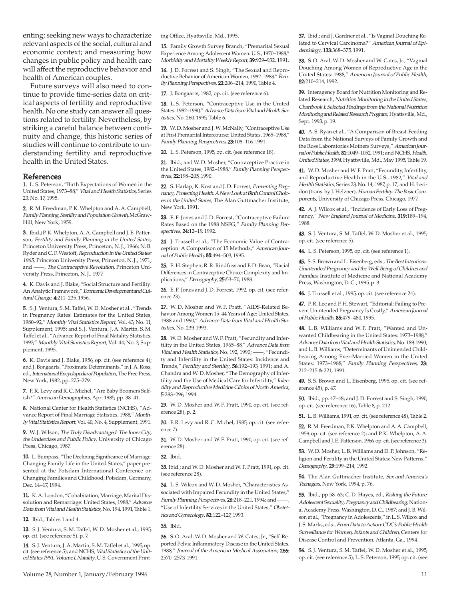enting; seeking new ways to characterize relevant aspects of the social, cultural and economic context; and measuring how changes in public policy and health care will affect the reproductive behavior and health of American couples.

Future surveys will also need to continue to provide time-series data on critical aspects of fertility and reproductive health. No one study can answer all questions related to fertility. Nevertheless, by striking a careful balance between continuity and change, this historic series of studies will continue to contribute to understanding fertility and reproductive health in the United States.

#### References

1. L. S. Peterson, "Birth Expectations of Women in the United States, 1973–88," Vital and Health Statistics, Series 23, No. 17, 1995.

2. R. M. Freedman, P. K. Whelpton and A. A. Campbell, Family Planning, Sterility and Population Growth, McGraw-Hill, New York, 1959.

3. Ibid.; P. K. Whelpton, A. A. Campbell and J. E. Patterson, Fertility and Family Planning in the United States, Princeton University Press, Princeton, N. J., 1966; N. B. Ryder and C. F. Westoff, Reproduction in the United States: 1965, Princeton University Press, Princeton, N. J., 1971; and ——, The Contraceptive Revolution, Princeton University Press, Princeton, N. J., 1977.

4. K. Davis and J. Blake, "Social Structure and Fertility: An Analytic Framework," Economic Development and Cultural Change, 4:211–235, 1956.

5. S. J. Ventura, S. M. Taffel, W. D. Mosher et al., "Trends in Pregnancy Rates: Estimates for the United States, 1980–92," Monthly Vital Statistics Report, Vol. 43, No. 11, Supplement, 1995; and S. J. Ventura, J. A. Martin, S. M. Taffel et al., "Advance Report of Final Natality Statistics, 1993," Monthly Vital Statistics Report, Vol. 44, No. 3, Supplement, 1995.

6. K. Davis and J. Blake, 1956, op. cit. (see reference 4); and J. Bongaarts, "Proximate Determinants," in J. A. Ross, ed., International Encyclopedia of Population, The Free Press, New York, 1982, pp. 275–279.

7. F. R. Levy and R. C. Michel, "Are Baby Boomers Selfish?" American Demographics, Apr. 1985, pp. 38–41.

8. National Center for Health Statistics (NCHS), "Advance Report of Final Marriage Statistics, 1988," Monthly Vital Statistics Report, Vol. 40, No. 4, Supplement, 1991.

9. W. J. Wilson, The Truly Disadvantaged: The Inner City, the Underclass and Public Policy, University of Chicago Press, Chicago, 1987.

10. L. Bumpass, "The Declining Significance of Marriage: Changing Family Life in the United States," paper presented at the Potsdam International Conference on Changing Families and Childhood, Potsdam, Germany, Dec. 14–17, 1994.

11. K. A. London, "Cohabitation, Marriage, Marital Dissolution and Remarriage: United States, 1988," Advance Data from Vital and Health Statistics, No. 194, 1991, Table 1.

12. Ibid., Tables 1 and 4.

13. S. J. Ventura, S. M. Taffel, W. D. Mosher et al., 1995, op. cit. (see reference 5), p. 7.

14. S. J. Ventura, J. A. Martin, S. M. Taffel et al., 1995, op. cit. (see reference 5); and NCHS, Vital Statistics of the United States 1991, Volume I, Natality, U. S. Government Printing Office, Hyattsville, Md., 1995.

15. Family Growth Survey Branch, "Premarital Sexual Experience Among Adolescent Women: U. S., 1970–1988," Morbidity and Mortality Weekly Report, 39:929–932, 1991.

16. J. D. Forrest and S. Singh, "The Sexual and Reproductive Behavior of American Women, 1982-1988," Family Planning Perspectives, 22:206-214, 1990, Table 4.

17. J. Bongaarts, 1982, op. cit. (see reference 6).

18. L.S. Peterson, "Contraceptive Use in the United States: 1982–1990," Advance Data from Vital and Health Statistics, No. 260, 1995, Table 6.

19. W. D. Mosher and J. W. McNally, "Contraceptive Use at First Premarital Intercourse: United States, 1965–1988," Family Planning Perspectives, 23:108–116, 1991.

20. L. S. Peterson, 1995, op. cit. (see reference 18).

21. Ibid.; and W. D. Mosher, "Contraceptive Practice in the United States, 1982-1988," Family Planning Perspectives, 22:198–205, 1990.

22. S. Harlap, K. Kost and J. D. Forrest, Preventing Pregnancy, Protecting Health: A New Look at Birth Control Choices in the United States, The Alan Guttmacher Institute, New York, 1991.

23. E. F. Jones and J. D. Forrest, "Contraceptive Failure Rates Based on the 1988 NSFG," Family Planning Perspectives, 24:12–19, 1992.

24. J. Trussell et al., "The Economic Value of Contraception: A Comparison of 15 Methods," American Journal of Public Health, 85:494–503, 1995.

25. E. H. Stephen, R. R. Rindfuss and F. D. Bean, "Racial Differences in Contraceptive Choice: Complexity and Implications," Demography, 25:53–70, 1988.

26. E. F. Jones and J. D. Forrest, 1992, op. cit. (see reference 23).

27. W. D. Mosher and W. F. Pratt, "AIDS-Related Behavior Among Women 15–44 Years of Age: United States, 1988 and 1990," Advance Data from Vital and Health Statistics, No. 239, 1993.

28. W. D. Mosher and W. F. Pratt, "Fecundity and Infertility in the United States, 1965-88," Advance Data from Vital and Health Statistics, No. 192, 1990; ——, "Fecundity and Infertility in the United States: Incidence and Trends," Fertility and Sterility, 56:192-193, 1991; and A. Chandra and W. D. Mosher, "The Demography of Infertility and the Use of Medical Care for Infertility," Infertility and Reproductive Medicine Clinics of North America, 5:283–296, 1994.

29. W. D. Mosher and W. F. Pratt, 1990, op. cit. (see reference 28), p. 2.

30. F. R. Levy and R. C. Michel, 1985, op. cit. (see reference 7).

31. W. D. Mosher and W. F. Pratt, 1990, op. cit. (see reference 28).

#### 32. Ibid.

33. Ibid.; and W. D. Mosher and W. F. Pratt, 1991, op. cit. (see reference 28).

34. L. S. Wilcox and W. D. Mosher, "Characteristics Associated with Impaired Fecundity in the United States," Family Planning Perspectives, 26:218-221, 1994; and -"Use of Infertility Services in the United States," Obstetrics and Gynecology, 82:122–127, 1993.

#### 35. Ibid.

36. S. O. Aral, W. D. Mosher and W. Cates, Jr., "Self-Reported Pelvic Inflammatory Disease in the United States, 1988," Journal of the American Medical Association, 266: 2570–2573, 1991.

37. Ibid.; and J. Gardner et al., "Is Vaginal Douching Related to Cervical Carcinoma?" American Journal of Epidemiology, 133:368–375, 1991.

38. S.O. Aral, W.D. Mosher and W. Cates, Jr., "Vaginal Douching Among Women of Reproductive Age in the United States: 1988," American Journal of Public Health, 82:210–214, 1992.

39. Interagency Board for Nutrition Monitoring and Related Research, Nutrition Monitoring in the United States, Chartbook I: Selected Findings from the National Nutrition Monitoring and Related Research Program, Hyattsville, Md., Sept. 1993, p. 19.

40. A. S. Ryan et al., "A Comparison of Breast-Feeding Data from the National Surveys of Family Growth and the Ross Laboratories Mothers Surveys," American Journal of Public Health, 81:1049–1052, 1991; and NCHS, Health, United States, 1994, Hyattsville, Md., May 1995, Table 19.

41. W. D. Mosher and W. F. Pratt, "Fecundity, Infertility, and Reproductive Health in the U. S., 1982," Vital and Health Statistics, Series 23, No. 14, 1987, p. 17; and H. Leridon (trans. by J. Helzner), Human Fertility: The Basic Components, University of Chicago Press, Chicago, 1977.

42. A. J. Wilcox et al., "Incidence of Early Loss of Pregnancy," New England Journal of Medicine, 319:189–194, 1988.

43. S. J. Ventura, S. M. Taffel, W. D. Mosher et al., 1995, op. cit. (see reference 5).

44. L. S. Peterson, 1995, op. cit. (see reference 1).

45. S. S. Brown and L. Eisenberg, eds., The Best Intentions: Unintended Pregnancy and the Well-Being of Children and Families, Institute of Medicine and National Academy Press, Washington, D. C., 1995, p. 3.

46. J. Trussell et al., 1995, op. cit. (see reference 24).

47. P. R. Lee and F. H. Stewart, "Editorial: Failing to Prevent Unintended Pregnancy Is Costly," American Journal of Public Health, 85:479–480, 1995.

48. L. B. Williams and W. F. Pratt, "Wanted and Unwanted Childbearing in the United States: 1973–1988," Advance Data from Vital and Health Statistics, No. 189, 1990; and L. B. Williams, "Determinants of Unintended Childbearing Among Ever-Married Women in the United States: 1973-1988," Family Planning Perspectives, 23: 212–215 & 221, 1991.

49. S. S. Brown and L. Eisenberg, 1995, op. cit. (see reference 45), p. 47.

50. Ibid., pp. 47–48; and J. D. Forrest and S. Singh, 1990, op. cit. (see reference 16), Table 8, p. 212.

51. L. B. Williams, 1991, op. cit. (see reference 48), Table 2.

52. R.M. Freedman, P.K. Whelpton and A.A. Campbell, 1959, op. cit. (see reference 2); and P. K. Whelpton, A. A. Campbell and J. E. Patterson, 1966, op. cit. (see reference 3).

53. W. D. Mosher, L. B. Williams and D. P. Johnson, "Religion and Fertility in the United States: New Patterns," Demography, 29:199–214, 1992.

54. The Alan Guttmacher Institute, Sex and America's Teenagers, New York, 1994, p. 76.

55. Ibid., pp 58-63; C.D. Hayes, ed., Risking the Future: Adolescent Sexuality, Pregnancy and Childbearing, National Academy Press, Washington, D. C., 1987; and J. B. Wilson et al., "Pregnancy in Adolescents," in L. S. Wilcox and J. S. Marks, eds., From Data to Action: CDC's Public Health Surveillance for Women, Infants and Children, Centers for Disease Control and Prevention, Atlanta, Ga., 1994.

56. S. J. Ventura, S. M. Taffel, W. D. Mosher et al., 1995, op. cit. (see reference 5); L. S. Peterson, 1995, op. cit. (see